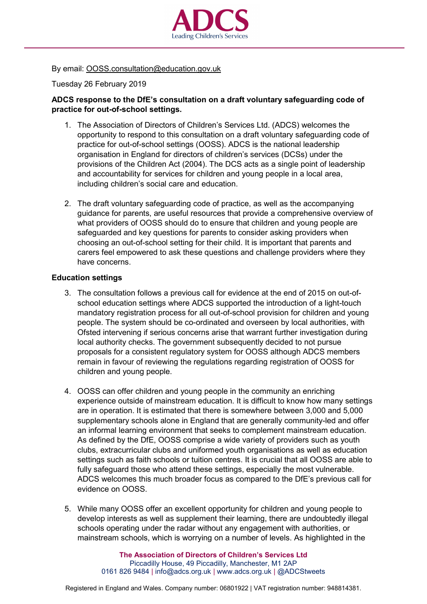

By email: OOSS.consultation@education.gov.uk

Tuesday 26 February 2019

## **ADCS response to the DfE's consultation on a draft voluntary safeguarding code of practice for out-of-school settings.**

- 1. The Association of Directors of Children's Services Ltd. (ADCS) welcomes the opportunity to respond to this consultation on a draft voluntary safeguarding code of practice for out-of-school settings (OOSS). ADCS is the national leadership organisation in England for directors of children's services (DCSs) under the provisions of the Children Act (2004). The DCS acts as a single point of leadership and accountability for services for children and young people in a local area, including children's social care and education.
- 2. The draft voluntary safeguarding code of practice, as well as the accompanying guidance for parents, are useful resources that provide a comprehensive overview of what providers of OOSS should do to ensure that children and young people are safeguarded and key questions for parents to consider asking providers when choosing an out-of-school setting for their child. It is important that parents and carers feel empowered to ask these questions and challenge providers where they have concerns.

## **Education settings**

- 3. The consultation follows a previous call for evidence at the end of 2015 on out-ofschool education settings where ADCS supported the introduction of a light-touch mandatory registration process for all out-of-school provision for children and young people. The system should be co-ordinated and overseen by local authorities, with Ofsted intervening if serious concerns arise that warrant further investigation during local authority checks. The government subsequently decided to not pursue proposals for a consistent regulatory system for OOSS although ADCS members remain in favour of reviewing the regulations regarding registration of OOSS for children and young people.
- 4. OOSS can offer children and young people in the community an enriching experience outside of mainstream education. It is difficult to know how many settings are in operation. It is estimated that there is somewhere between 3,000 and 5,000 supplementary schools alone in England that are generally community-led and offer an informal learning environment that seeks to complement mainstream education. As defined by the DfE, OOSS comprise a wide variety of providers such as youth clubs, extracurricular clubs and uniformed youth organisations as well as education settings such as faith schools or tuition centres. It is crucial that all OOSS are able to fully safeguard those who attend these settings, especially the most vulnerable. ADCS welcomes this much broader focus as compared to the DfE's previous call for evidence on OOSS.
- 5. While many OOSS offer an excellent opportunity for children and young people to develop interests as well as supplement their learning, there are undoubtedly illegal schools operating under the radar without any engagement with authorities, or mainstream schools, which is worrying on a number of levels. As highlighted in the

**The Association of Directors of Children's Services Ltd** Piccadilly House, 49 Piccadilly, Manchester, M1 2AP 0161 826 9484 | [info@adcs.org.uk](mailto:info@adcs.org.uk) | [www.adcs.org.uk](http://www.adcs.org.uk/) | [@ADCStweets](https://twitter.com/ADCStweets)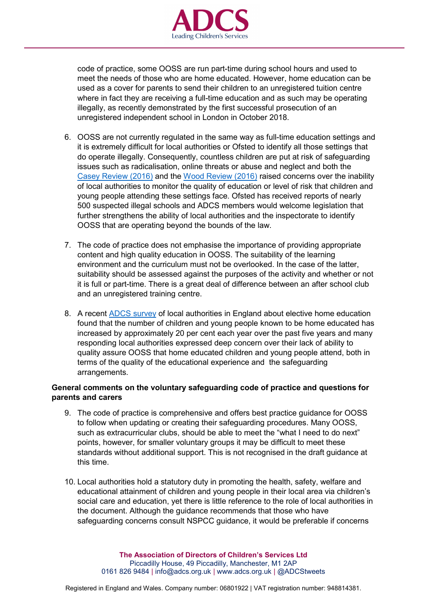

code of practice, some OOSS are run part-time during school hours and used to meet the needs of those who are home educated. However, home education can be used as a cover for parents to send their children to an unregistered tuition centre where in fact they are receiving a full-time education and as such may be operating illegally, as recently demonstrated by the first successful prosecution of an unregistered independent school in London in October 2018.

- 6. OOSS are not currently regulated in the same way as full-time education settings and it is extremely difficult for local authorities or Ofsted to identify all those settings that do operate illegally. Consequently, countless children are put at risk of safeguarding issues such as radicalisation, online threats or abuse and neglect and both the [Casey Review \(2016\)](https://assets.publishing.service.gov.uk/government/uploads/system/uploads/attachment_data/file/575973/The_Casey_Review_Report.pdf) and the [Wood Review \(2016\)](https://assets.publishing.service.gov.uk/government/uploads/system/uploads/attachment_data/file/526329/Alan_Wood_review.pdf) raised concerns over the inability of local authorities to monitor the quality of education or level of risk that children and young people attending these settings face. Ofsted has received reports of nearly 500 suspected illegal schools and ADCS members would welcome legislation that further strengthens the ability of local authorities and the inspectorate to identify OOSS that are operating beyond the bounds of the law.
- 7. The code of practice does not emphasise the importance of providing appropriate content and high quality education in OOSS. The suitability of the learning environment and the curriculum must not be overlooked. In the case of the latter, suitability should be assessed against the purposes of the activity and whether or not it is full or part-time. There is a great deal of difference between an after school club and an unregistered training centre.
- 8. A recent [ADCS survey](http://adcs.org.uk/assets/documentation/ADCS_EHE_survey_analysis_2018_FINAL_web.pdf) of local authorities in England about elective home education found that the number of children and young people known to be home educated has increased by approximately 20 per cent each year over the past five years and many responding local authorities expressed deep concern over their lack of ability to quality assure OOSS that home educated children and young people attend, both in terms of the quality of the educational experience and the safeguarding arrangements.

## **General comments on the voluntary safeguarding code of practice and questions for parents and carers**

- 9. The code of practice is comprehensive and offers best practice guidance for OOSS to follow when updating or creating their safeguarding procedures. Many OOSS, such as extracurricular clubs, should be able to meet the "what I need to do next" points, however, for smaller voluntary groups it may be difficult to meet these standards without additional support. This is not recognised in the draft guidance at this time.
- 10. Local authorities hold a statutory duty in promoting the health, safety, welfare and educational attainment of children and young people in their local area via children's social care and education, yet there is little reference to the role of local authorities in the document. Although the guidance recommends that those who have safeguarding concerns consult NSPCC guidance, it would be preferable if concerns

**The Association of Directors of Children's Services Ltd** Piccadilly House, 49 Piccadilly, Manchester, M1 2AP 0161 826 9484 | [info@adcs.org.uk](mailto:info@adcs.org.uk) | [www.adcs.org.uk](http://www.adcs.org.uk/) | [@ADCStweets](https://twitter.com/ADCStweets)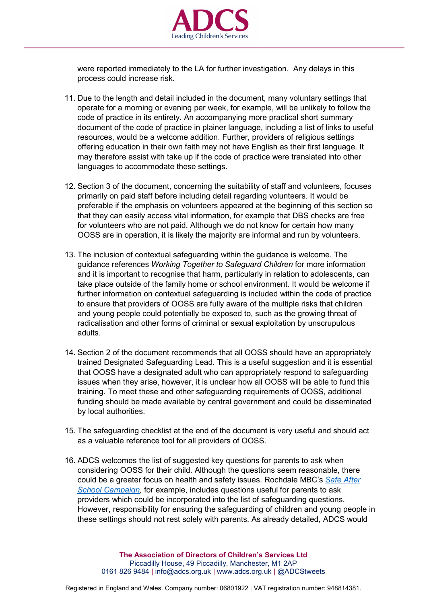

were reported immediately to the LA for further investigation. Any delays in this process could increase risk.

- 11. Due to the length and detail included in the document, many voluntary settings that operate for a morning or evening per week, for example, will be unlikely to follow the code of practice in its entirety. An accompanying more practical short summary document of the code of practice in plainer language, including a list of links to useful resources, would be a welcome addition. Further, providers of religious settings offering education in their own faith may not have English as their first language. It may therefore assist with take up if the code of practice were translated into other languages to accommodate these settings.
- 12. Section 3 of the document, concerning the suitability of staff and volunteers, focuses primarily on paid staff before including detail regarding volunteers. It would be preferable if the emphasis on volunteers appeared at the beginning of this section so that they can easily access vital information, for example that DBS checks are free for volunteers who are not paid. Although we do not know for certain how many OOSS are in operation, it is likely the majority are informal and run by volunteers.
- 13. The inclusion of contextual safeguarding within the guidance is welcome. The guidance references *Working Together to Safeguard Children* for more information and it is important to recognise that harm, particularly in relation to adolescents, can take place outside of the family home or school environment. It would be welcome if further information on contextual safeguarding is included within the code of practice to ensure that providers of OOSS are fully aware of the multiple risks that children and young people could potentially be exposed to, such as the growing threat of radicalisation and other forms of criminal or sexual exploitation by unscrupulous adults.
- 14. Section 2 of the document recommends that all OOSS should have an appropriately trained Designated Safeguarding Lead. This is a useful suggestion and it is essential that OOSS have a designated adult who can appropriately respond to safeguarding issues when they arise, however, it is unclear how all OOSS will be able to fund this training. To meet these and other safeguarding requirements of OOSS, additional funding should be made available by central government and could be disseminated by local authorities.
- 15. The safeguarding checklist at the end of the document is very useful and should act as a valuable reference tool for all providers of OOSS.
- 16. ADCS welcomes the list of suggested key questions for parents to ask when considering OOSS for their child. Although the questions seem reasonable, there could be a greater focus on health and safety issues. Rochdale MBC's *[Safe After](https://www.ourrochdale.org.uk/kb5/rochdale/directory/service.page?id=239kpyAw3mE)  [School Campaign,](https://www.ourrochdale.org.uk/kb5/rochdale/directory/service.page?id=239kpyAw3mE)* for example, includes questions useful for parents to ask providers which could be incorporated into the list of safeguarding questions. However, responsibility for ensuring the safeguarding of children and young people in these settings should not rest solely with parents. As already detailed, ADCS would

**The Association of Directors of Children's Services Ltd** Piccadilly House, 49 Piccadilly, Manchester, M1 2AP 0161 826 9484 | [info@adcs.org.uk](mailto:info@adcs.org.uk) | [www.adcs.org.uk](http://www.adcs.org.uk/) | [@ADCStweets](https://twitter.com/ADCStweets)